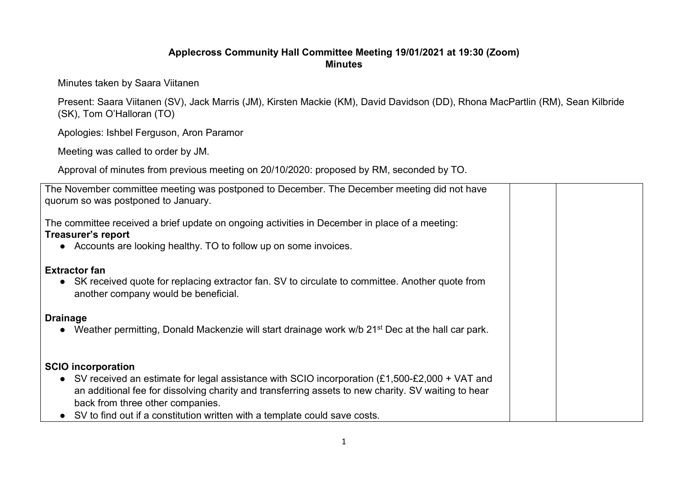## **Applecross Community Hall Committee Meeting 19/01/2021 at 19:30 (Zoom) Minutes**

Minutes taken by Saara Viitanen

Present: Saara Viitanen (SV), Jack Marris (JM), Kirsten Mackie (KM), David Davidson (DD), Rhona MacPartlin (RM), Sean Kilbride (SK), Tom O'Halloran (TO)

Apologies: Ishbel Ferguson, Aron Paramor

Meeting was called to order by JM.

Approval of minutes from previous meeting on 20/10/2020: proposed by RM, seconded by TO.

| The November committee meeting was postponed to December. The December meeting did not have<br>quorum so was postponed to January.                                                                                                                                                                                                                      |
|---------------------------------------------------------------------------------------------------------------------------------------------------------------------------------------------------------------------------------------------------------------------------------------------------------------------------------------------------------|
| The committee received a brief update on ongoing activities in December in place of a meeting:<br>Treasurer's report<br>Accounts are looking healthy. TO to follow up on some invoices.<br>$\bullet$                                                                                                                                                    |
| <b>Extractor fan</b><br>• SK received quote for replacing extractor fan. SV to circulate to committee. Another quote from<br>another company would be beneficial.                                                                                                                                                                                       |
| <b>Drainage</b><br>Weather permitting, Donald Mackenzie will start drainage work w/b 21 <sup>st</sup> Dec at the hall car park.                                                                                                                                                                                                                         |
| <b>SCIO</b> incorporation<br>• SV received an estimate for legal assistance with SCIO incorporation $(E1,500-E2,000 + VAT$ and<br>an additional fee for dissolving charity and transferring assets to new charity. SV waiting to hear<br>back from three other companies.<br>SV to find out if a constitution written with a template could save costs. |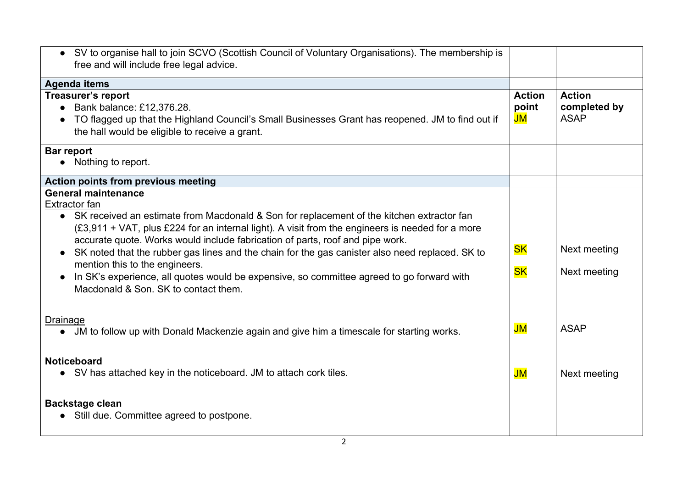| • SV to organise hall to join SCVO (Scottish Council of Voluntary Organisations). The membership is                                                                                                                                                                                                                                                                                                                                                                                                                                                                                                              |                                         |                                              |
|------------------------------------------------------------------------------------------------------------------------------------------------------------------------------------------------------------------------------------------------------------------------------------------------------------------------------------------------------------------------------------------------------------------------------------------------------------------------------------------------------------------------------------------------------------------------------------------------------------------|-----------------------------------------|----------------------------------------------|
| free and will include free legal advice.                                                                                                                                                                                                                                                                                                                                                                                                                                                                                                                                                                         |                                         |                                              |
| <b>Agenda items</b>                                                                                                                                                                                                                                                                                                                                                                                                                                                                                                                                                                                              |                                         |                                              |
| <b>Treasurer's report</b><br>• Bank balance: £12,376.28.<br>TO flagged up that the Highland Council's Small Businesses Grant has reopened. JM to find out if<br>the hall would be eligible to receive a grant.                                                                                                                                                                                                                                                                                                                                                                                                   | <b>Action</b><br>point<br>$\mathsf{JM}$ | <b>Action</b><br>completed by<br><b>ASAP</b> |
| Bar report<br>Nothing to report.                                                                                                                                                                                                                                                                                                                                                                                                                                                                                                                                                                                 |                                         |                                              |
| <b>Action points from previous meeting</b>                                                                                                                                                                                                                                                                                                                                                                                                                                                                                                                                                                       |                                         |                                              |
| <b>General maintenance</b><br><b>Extractor fan</b><br>• SK received an estimate from Macdonald & Son for replacement of the kitchen extractor fan<br>(£3,911 + VAT, plus £224 for an internal light). A visit from the engineers is needed for a more<br>accurate quote. Works would include fabrication of parts, roof and pipe work.<br>SK noted that the rubber gas lines and the chain for the gas canister also need replaced. SK to<br>mention this to the engineers.<br>In SK's experience, all quotes would be expensive, so committee agreed to go forward with<br>Macdonald & Son. SK to contact them. | <b>SK</b><br><b>SK</b>                  | Next meeting<br>Next meeting                 |
| <b>Drainage</b><br>• JM to follow up with Donald Mackenzie again and give him a timescale for starting works.                                                                                                                                                                                                                                                                                                                                                                                                                                                                                                    | JM                                      | <b>ASAP</b>                                  |
| <b>Noticeboard</b><br>• SV has attached key in the noticeboard. JM to attach cork tiles.                                                                                                                                                                                                                                                                                                                                                                                                                                                                                                                         | $\mathsf{JM}$                           | Next meeting                                 |
| <b>Backstage clean</b><br>Still due. Committee agreed to postpone.                                                                                                                                                                                                                                                                                                                                                                                                                                                                                                                                               |                                         |                                              |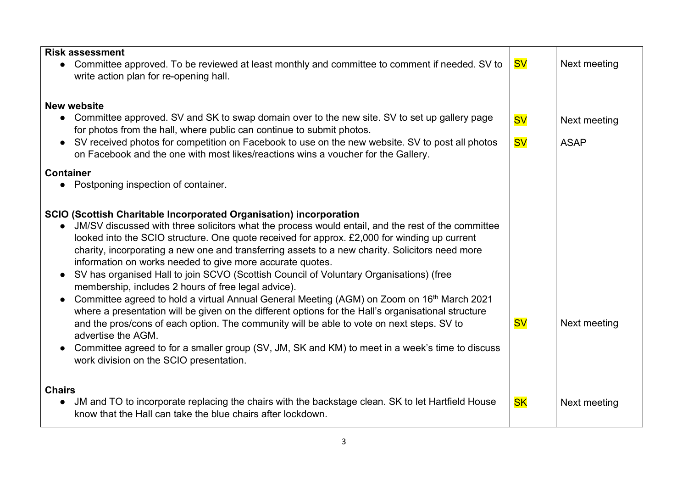| <b>Risk assessment</b>                                                                                                                                                                                                                                                                                                                                                                                                                                                                                                                                                                                                                                                                                                                                                                                                                                                                                                                                                                                                                                                                                       |           |              |
|--------------------------------------------------------------------------------------------------------------------------------------------------------------------------------------------------------------------------------------------------------------------------------------------------------------------------------------------------------------------------------------------------------------------------------------------------------------------------------------------------------------------------------------------------------------------------------------------------------------------------------------------------------------------------------------------------------------------------------------------------------------------------------------------------------------------------------------------------------------------------------------------------------------------------------------------------------------------------------------------------------------------------------------------------------------------------------------------------------------|-----------|--------------|
| Committee approved. To be reviewed at least monthly and committee to comment if needed. SV to<br>write action plan for re-opening hall.                                                                                                                                                                                                                                                                                                                                                                                                                                                                                                                                                                                                                                                                                                                                                                                                                                                                                                                                                                      | <b>SV</b> | Next meeting |
| <b>New website</b>                                                                                                                                                                                                                                                                                                                                                                                                                                                                                                                                                                                                                                                                                                                                                                                                                                                                                                                                                                                                                                                                                           |           |              |
| Committee approved. SV and SK to swap domain over to the new site. SV to set up gallery page<br>for photos from the hall, where public can continue to submit photos.                                                                                                                                                                                                                                                                                                                                                                                                                                                                                                                                                                                                                                                                                                                                                                                                                                                                                                                                        | <b>SV</b> | Next meeting |
| SV received photos for competition on Facebook to use on the new website. SV to post all photos<br>on Facebook and the one with most likes/reactions wins a voucher for the Gallery.                                                                                                                                                                                                                                                                                                                                                                                                                                                                                                                                                                                                                                                                                                                                                                                                                                                                                                                         | <b>SV</b> | <b>ASAP</b>  |
| <b>Container</b>                                                                                                                                                                                                                                                                                                                                                                                                                                                                                                                                                                                                                                                                                                                                                                                                                                                                                                                                                                                                                                                                                             |           |              |
| • Postponing inspection of container.                                                                                                                                                                                                                                                                                                                                                                                                                                                                                                                                                                                                                                                                                                                                                                                                                                                                                                                                                                                                                                                                        |           |              |
|                                                                                                                                                                                                                                                                                                                                                                                                                                                                                                                                                                                                                                                                                                                                                                                                                                                                                                                                                                                                                                                                                                              |           |              |
| <b>SCIO (Scottish Charitable Incorporated Organisation) incorporation</b><br>JM/SV discussed with three solicitors what the process would entail, and the rest of the committee<br>looked into the SCIO structure. One quote received for approx. £2,000 for winding up current<br>charity, incorporating a new one and transferring assets to a new charity. Solicitors need more<br>information on works needed to give more accurate quotes.<br>SV has organised Hall to join SCVO (Scottish Council of Voluntary Organisations) (free<br>$\bullet$<br>membership, includes 2 hours of free legal advice).<br>Committee agreed to hold a virtual Annual General Meeting (AGM) on Zoom on 16 <sup>th</sup> March 2021<br>where a presentation will be given on the different options for the Hall's organisational structure<br>and the pros/cons of each option. The community will be able to vote on next steps. SV to<br>advertise the AGM.<br>Committee agreed to for a smaller group (SV, JM, SK and KM) to meet in a week's time to discuss<br>$\bullet$<br>work division on the SCIO presentation. | <b>SV</b> | Next meeting |
| <b>Chairs</b><br>JM and TO to incorporate replacing the chairs with the backstage clean. SK to let Hartfield House<br>know that the Hall can take the blue chairs after lockdown.                                                                                                                                                                                                                                                                                                                                                                                                                                                                                                                                                                                                                                                                                                                                                                                                                                                                                                                            | <b>SK</b> | Next meeting |